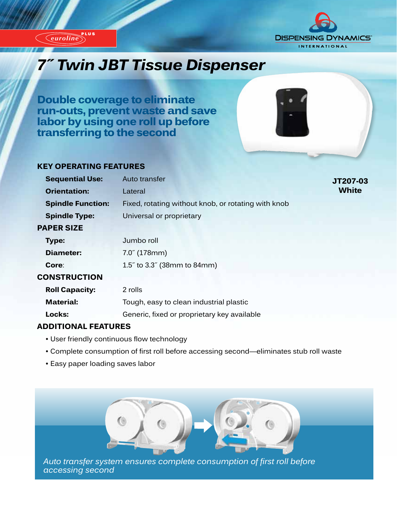

*euroline*



# *7˝ Twin JBT Tissue Dispenser*

**Double coverage to eliminate run-outs, prevent waste and save labor by using one roll up before transferring to the second**

### **KEY OPERATING FEATURES**

|                     | <b>Sequential Use:</b>   | Auto transfer                                       | JT207-03     |
|---------------------|--------------------------|-----------------------------------------------------|--------------|
|                     | <b>Orientation:</b>      | Lateral                                             | <b>White</b> |
|                     | <b>Spindle Function:</b> | Fixed, rotating without knob, or rotating with knob |              |
|                     | <b>Spindle Type:</b>     | Universal or proprietary                            |              |
| <b>PAPER SIZE</b>   |                          |                                                     |              |
|                     | Type:                    | Jumbo roll                                          |              |
|                     | Diameter:                | $7.0^{7}$ (178mm)                                   |              |
|                     | Core:                    | 1.5" to 3.3" (38mm to 84mm)                         |              |
| <b>CONSTRUCTION</b> |                          |                                                     |              |
|                     | <b>Roll Capacity:</b>    | 2 rolls                                             |              |
|                     | <b>Material:</b>         | Tough, easy to clean industrial plastic             |              |
|                     | Locks:                   | Generic, fixed or proprietary key available         |              |
|                     |                          |                                                     |              |

### **ADDITIONAL FEATURES**

- User friendly continuous flow technology
- Complete consumption of first roll before accessing second—eliminates stub roll waste
- Easy paper loading saves labor



*Auto transfer system ensures complete consumption of first roll before accessing second*